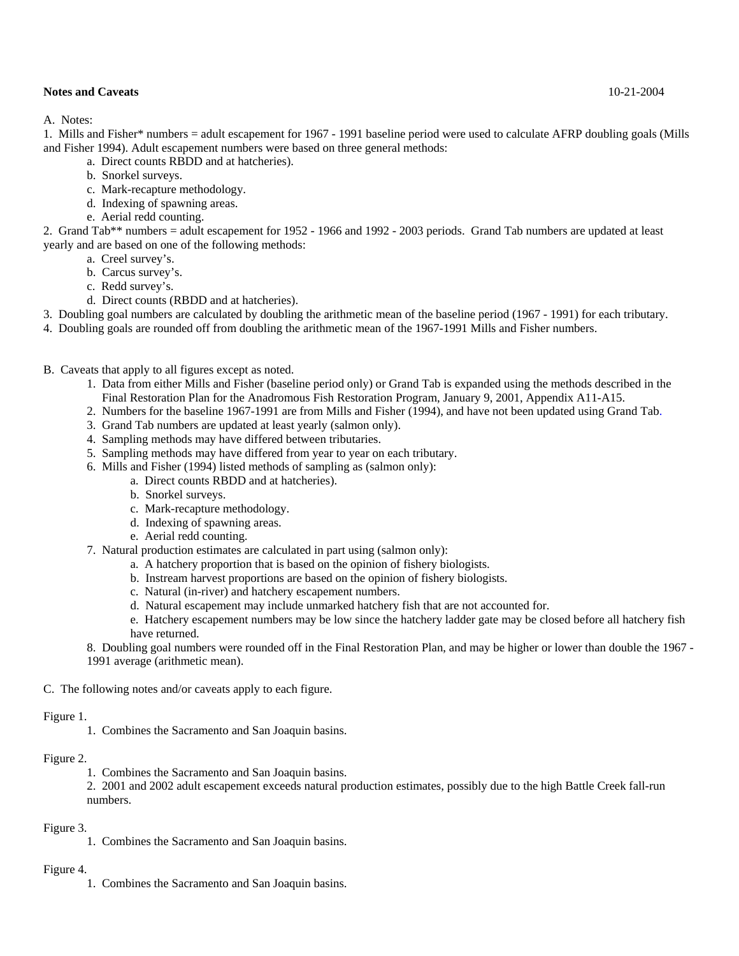A. Notes:

1. Mills and Fisher\* numbers = adult escapement for 1967 - 1991 baseline period were used to calculate AFRP doubling goals (Mills and Fisher 1994). Adult escapement numbers were based on three general methods:

- a. Direct counts RBDD and at hatcheries).
- b. Snorkel surveys.
- c. Mark-recapture methodology.
- d. Indexing of spawning areas.
- e. Aerial redd counting.

2. Grand Tab\*\* numbers = adult escapement for 1952 - 1966 and 1992 - 2003 periods. Grand Tab numbers are updated at least yearly and are based on one of the following methods:

- a. Creel survey's.
- b. Carcus survey's.
- c. Redd survey's.
- d. Direct counts (RBDD and at hatcheries).

3. Doubling goal numbers are calculated by doubling the arithmetic mean of the baseline period (1967 - 1991) for each tributary.

4. Doubling goals are rounded off from doubling the arithmetic mean of the 1967-1991 Mills and Fisher numbers.

- B. Caveats that apply to all figures except as noted.
	- 1. Data from either Mills and Fisher (baseline period only) or Grand Tab is expanded using the methods described in the Final Restoration Plan for the Anadromous Fish Restoration Program, January 9, 2001, Appendix A11-A15.
	- 2. Numbers for the baseline 1967-1991 are from Mills and Fisher (1994), and have not been updated using Grand Tab.
	- 3. Grand Tab numbers are updated at least yearly (salmon only).
	- 4. Sampling methods may have differed between tributaries.
	- 5. Sampling methods may have differed from year to year on each tributary.
	- 6. Mills and Fisher (1994) listed methods of sampling as (salmon only):
		- a. Direct counts RBDD and at hatcheries).
		- b. Snorkel surveys.
		- c. Mark-recapture methodology.
		- d. Indexing of spawning areas.
		- e. Aerial redd counting.
	- 7. Natural production estimates are calculated in part using (salmon only):
		- a. A hatchery proportion that is based on the opinion of fishery biologists.
		- b. Instream harvest proportions are based on the opinion of fishery biologists.
		- c. Natural (in-river) and hatchery escapement numbers.
		- d. Natural escapement may include unmarked hatchery fish that are not accounted for.
		- e. Hatchery escapement numbers may be low since the hatchery ladder gate may be closed before all hatchery fish have returned.
	- 8. Doubling goal numbers were rounded off in the Final Restoration Plan, and may be higher or lower than double the 1967 1991 average (arithmetic mean).

C. The following notes and/or caveats apply to each figure.

#### Figure 1.

1. Combines the Sacramento and San Joaquin basins.

#### Figure 2.

- 1. Combines the Sacramento and San Joaquin basins.
- 2. 2001 and 2002 adult escapement exceeds natural production estimates, possibly due to the high Battle Creek fall-run numbers.

#### Figure 3.

1. Combines the Sacramento and San Joaquin basins.

#### Figure 4.

1. Combines the Sacramento and San Joaquin basins.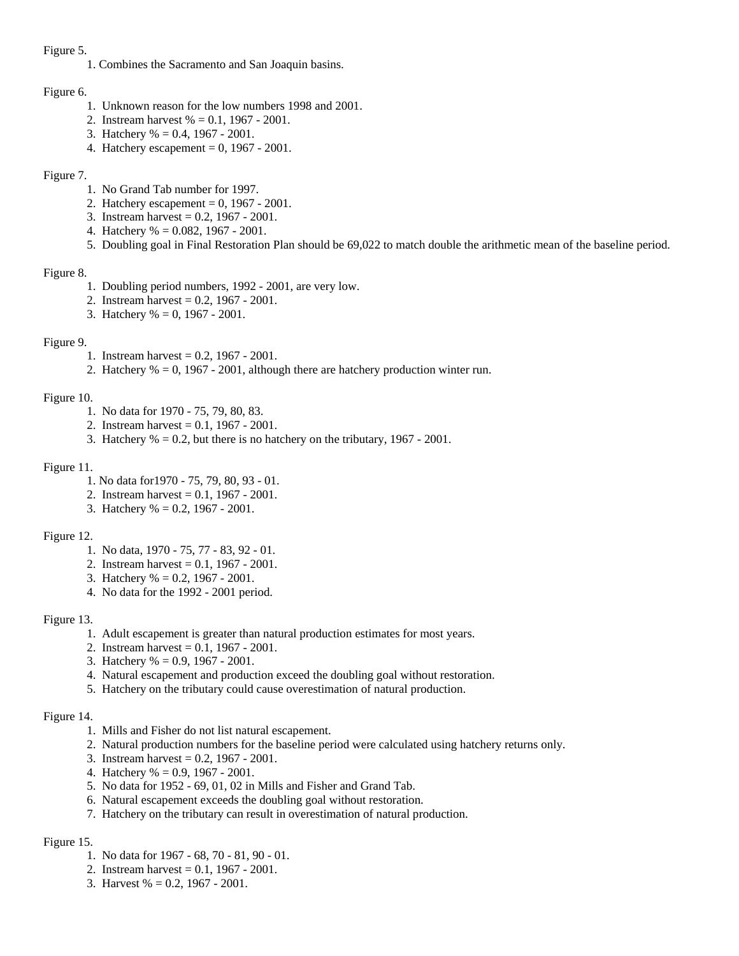#### Figure 5.

1. Combines the Sacramento and San Joaquin basins.

# Figure 6.

- 1. Unknown reason for the low numbers 1998 and 2001.
- 2. Instream harvest % = 0.1, 1967 2001.
- 3. Hatchery % = 0.4, 1967 2001.
- 4. Hatchery escapement =  $0, 1967 2001$ .

# Figure 7.

- 1. No Grand Tab number for 1997.
- 2. Hatchery escapement = 0, 1967 2001.
- 3. Instream harvest = 0.2, 1967 2001.
- 4. Hatchery % = 0.082, 1967 2001.
- 5. Doubling goal in Final Restoration Plan should be 69,022 to match double the arithmetic mean of the baseline period.

#### Figure 8.

- 1. Doubling period numbers, 1992 2001, are very low.
- 2. Instream harvest = 0.2, 1967 2001.
- 3. Hatchery % = 0, 1967 2001.

#### Figure 9.

- 1. Instream harvest = 0.2, 1967 2001.
- 2. Hatchery % = 0, 1967 2001, although there are hatchery production winter run.

#### Figure 10.

- 1. No data for 1970 75, 79, 80, 83.
- 2. Instream harvest = 0.1, 1967 2001.
- 3. Hatchery  $% = 0.2$ , but there is no hatchery on the tributary, 1967 2001.

# Figure 11.

- 1. No data for1970 75, 79, 80, 93 01.
- 2. Instream harvest = 0.1, 1967 2001.
- 3. Hatchery % = 0.2, 1967 2001.

# Figure 12.

- 1. No data, 1970 75, 77 83, 92 01.
- 2. Instream harvest = 0.1, 1967 2001.
- 3. Hatchery % = 0.2, 1967 2001.
- 4. No data for the 1992 2001 period.

# Figure 13.

- 1. Adult escapement is greater than natural production estimates for most years.
- 2. Instream harvest = 0.1, 1967 2001.
- 3. Hatchery % = 0.9, 1967 2001.
- 4. Natural escapement and production exceed the doubling goal without restoration.
- 5. Hatchery on the tributary could cause overestimation of natural production.

# Figure 14.

- 1. Mills and Fisher do not list natural escapement.
- 2. Natural production numbers for the baseline period were calculated using hatchery returns only.
- 3. Instream harvest = 0.2, 1967 2001.
- 4. Hatchery % = 0.9, 1967 2001.
- 5. No data for 1952 69, 01, 02 in Mills and Fisher and Grand Tab.
- 6. Natural escapement exceeds the doubling goal without restoration.
- 7. Hatchery on the tributary can result in overestimation of natural production.

# Figure 15.

- 1. No data for 1967 68, 70 81, 90 01.
- 2. Instream harvest = 0.1, 1967 2001.
- 3. Harvest % = 0.2, 1967 2001.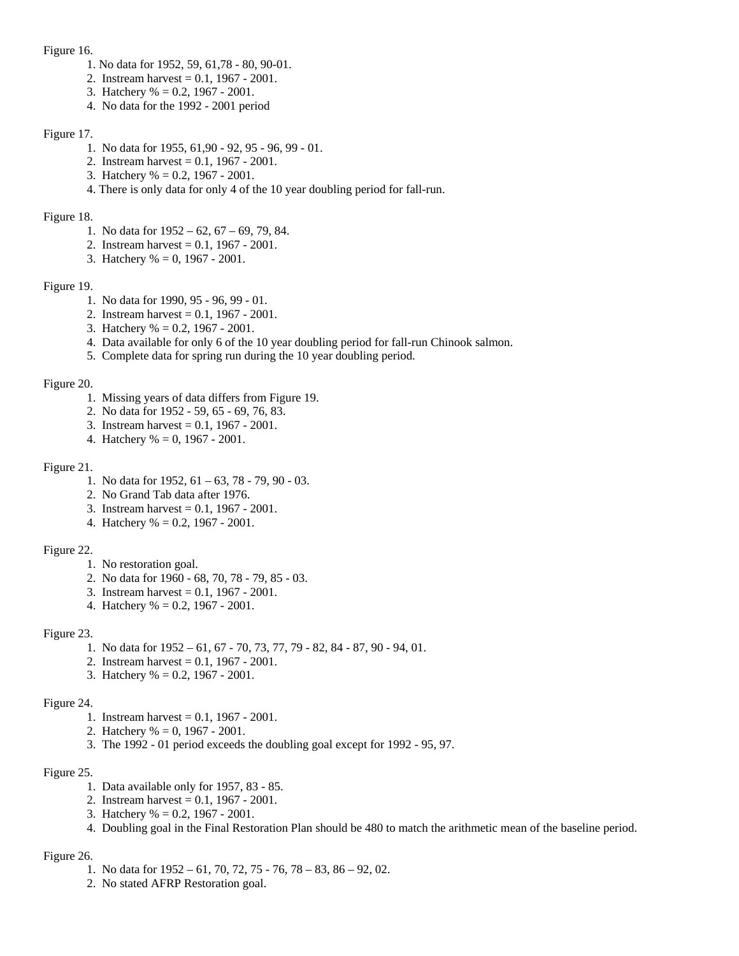#### Figure 16.

- 1. No data for 1952, 59, 61,78 80, 90-01.
- 2. Instream harvest = 0.1, 1967 2001.
- 3. Hatchery % = 0.2, 1967 2001.
- 4. No data for the 1992 2001 period

# Figure 17.

- 1. No data for 1955, 61,90 92, 95 96, 99 01.
- 2. Instream harvest = 0.1, 1967 2001.
- 3. Hatchery % = 0.2, 1967 2001.
- 4. There is only data for only 4 of the 10 year doubling period for fall-run.

# Figure 18.

- 1. No data for 1952 62, 67 69, 79, 84.
- 2. Instream harvest = 0.1, 1967 2001.
- 3. Hatchery % = 0, 1967 2001.

# Figure 19.

- 1. No data for 1990, 95 96, 99 01.
- 2. Instream harvest = 0.1, 1967 2001.
- 3. Hatchery % = 0.2, 1967 2001.
- 4. Data available for only 6 of the 10 year doubling period for fall-run Chinook salmon.
- 5. Complete data for spring run during the 10 year doubling period.

#### Figure 20.

- 1. Missing years of data differs from Figure 19.
- 2. No data for 1952 59, 65 69, 76, 83.
- 3. Instream harvest = 0.1, 1967 2001.
- 4. Hatchery % = 0, 1967 2001.

# Figure 21.

- 1. No data for 1952, 61 63, 78 79, 90 03.
- 2. No Grand Tab data after 1976.
- 3. Instream harvest = 0.1, 1967 2001.
- 4. Hatchery % = 0.2, 1967 2001.

# Figure 22.

- 1. No restoration goal.
- 2. No data for 1960 68, 70, 78 79, 85 03.
- 3. Instream harvest = 0.1, 1967 2001.
- 4. Hatchery % = 0.2, 1967 2001.

# Figure 23.

- 1. No data for 1952 61, 67 70, 73, 77, 79 82, 84 87, 90 94, 01.
- 2. Instream harvest = 0.1, 1967 2001.
- 3. Hatchery % = 0.2, 1967 2001.

# Figure 24.

- 1. Instream harvest = 0.1, 1967 2001.
- 2. Hatchery % = 0, 1967 2001.
- 3. The 1992 01 period exceeds the doubling goal except for 1992 95, 97.

# Figure 25.

- 1. Data available only for 1957, 83 85.
- 2. Instream harvest = 0.1, 1967 2001.
- 3. Hatchery % = 0.2, 1967 2001.
- 4. Doubling goal in the Final Restoration Plan should be 480 to match the arithmetic mean of the baseline period.

# Figure 26.

- 1. No data for 1952 61, 70, 72, 75 76, 78 83, 86 92, 02.
- 2. No stated AFRP Restoration goal.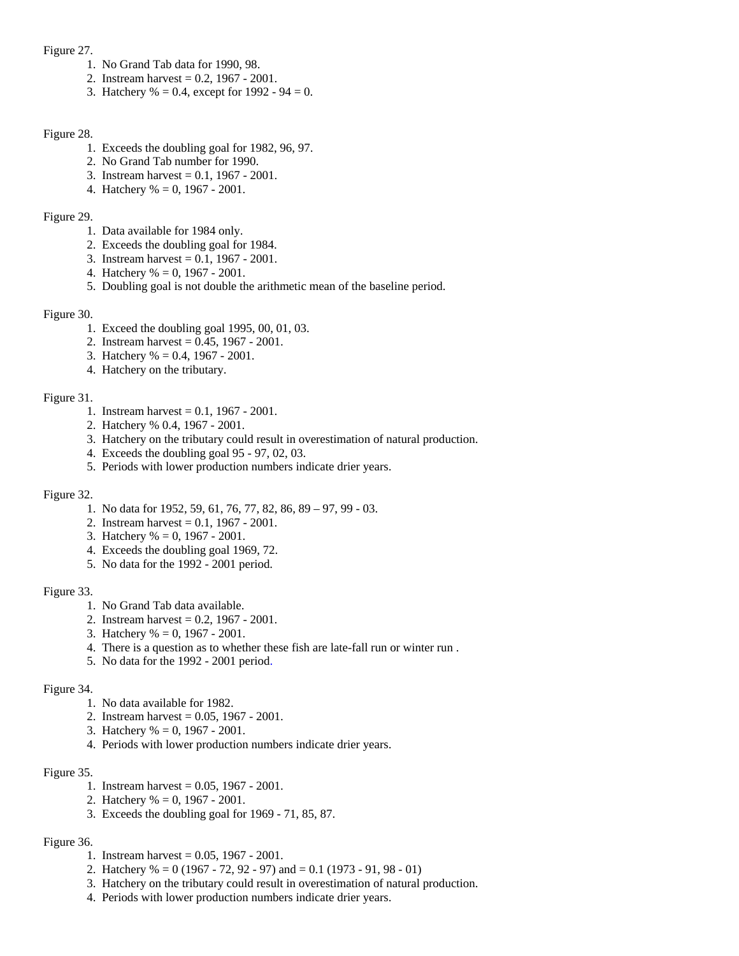#### Figure 27.

- 1. No Grand Tab data for 1990, 98.
- 2. Instream harvest = 0.2, 1967 2001.
- 3. Hatchery % = 0.4, except for  $1992 94 = 0$ .

#### Figure 28.

- 1. Exceeds the doubling goal for 1982, 96, 97.
- 2. No Grand Tab number for 1990.
- 3. Instream harvest = 0.1, 1967 2001.
- 4. Hatchery % = 0, 1967 2001.

### Figure 29.

- 1. Data available for 1984 only.
- 2. Exceeds the doubling goal for 1984.
- 3. Instream harvest = 0.1, 1967 2001.
- 4. Hatchery % = 0, 1967 2001.
- 5. Doubling goal is not double the arithmetic mean of the baseline period.

#### Figure 30.

- 1. Exceed the doubling goal 1995, 00, 01, 03.
- 2. Instream harvest = 0.45, 1967 2001.
- 3. Hatchery % = 0.4, 1967 2001.
- 4. Hatchery on the tributary.

#### Figure 31.

- 1. Instream harvest = 0.1, 1967 2001.
- 2. Hatchery % 0.4, 1967 2001.
- 3. Hatchery on the tributary could result in overestimation of natural production.
- 4. Exceeds the doubling goal 95 97, 02, 03.
- 5. Periods with lower production numbers indicate drier years.

# Figure 32.

- 1. No data for 1952, 59, 61, 76, 77, 82, 86, 89 97, 99 03.
- 2. Instream harvest = 0.1, 1967 2001.
- 3. Hatchery % = 0, 1967 2001.
- 4. Exceeds the doubling goal 1969, 72.
- 5. No data for the 1992 2001 period.

# Figure 33.

- 1. No Grand Tab data available.
- 2. Instream harvest = 0.2, 1967 2001.
- 3. Hatchery % = 0, 1967 2001.
- 4. There is a question as to whether these fish are late-fall run or winter run .
- 5. No data for the 1992 2001 period.

# Figure 34.

- 1. No data available for 1982.
- 2. Instream harvest = 0.05, 1967 2001.
- 3. Hatchery % = 0, 1967 2001.
- 4. Periods with lower production numbers indicate drier years.

# Figure 35.

- 1. Instream harvest = 0.05, 1967 2001.
- 2. Hatchery % = 0, 1967 2001.
- 3. Exceeds the doubling goal for 1969 71, 85, 87.

# Figure 36.

- 1. Instream harvest = 0.05, 1967 2001.
- 2. Hatchery % = 0 (1967 72, 92 97) and = 0.1 (1973 91, 98 01)
- 3. Hatchery on the tributary could result in overestimation of natural production.
- 4. Periods with lower production numbers indicate drier years.